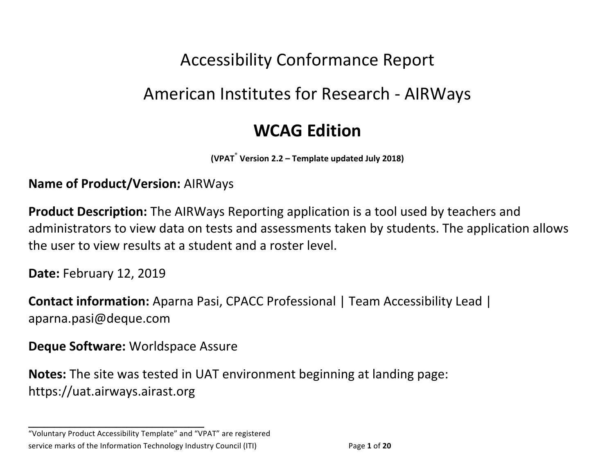# Accessibility Conformance Report

# American Institutes for Research - AIRWays

## **WCAG Edition**

**(VPAT**® **Version 2.2 – Template updated July 2018)**

#### **Name of Product/Version: AIRWays**

**Product Description:** The AIRWays Reporting application is a tool used by teachers and administrators to view data on tests and assessments taken by students. The application allows the user to view results at a student and a roster level.

**Date: February 12, 2019** 

**Contact information:** Aparna Pasi, CPACC Professional | Team Accessibility Lead | aparna.pasi@deque.com

**Deque Software: Worldspace Assure** 

**\_\_\_\_\_\_\_\_\_\_\_\_\_\_\_\_\_\_\_\_\_\_\_\_\_\_\_\_\_\_\_\_\_\_**

**Notes:** The site was tested in UAT environment beginning at landing page: https://uat.airways.airast.org

"Voluntary Product Accessibility Template" and "VPAT" are registered service marks of the Information Technology Industry Council (ITI) Page 1 of 20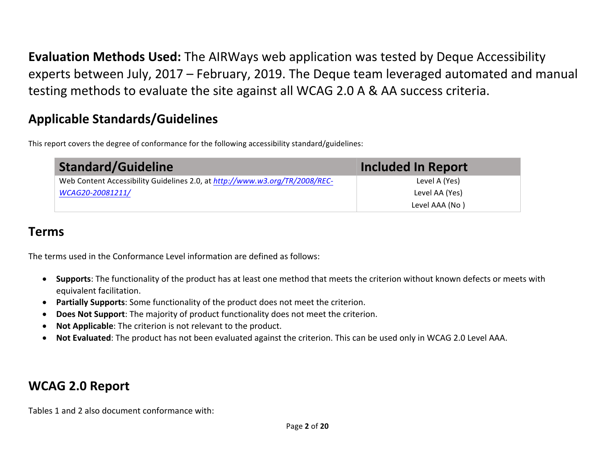**Evaluation Methods Used:** The AIRWays web application was tested by Deque Accessibility experts between July, 2017 – February, 2019. The Deque team leveraged automated and manual testing methods to evaluate the site against all WCAG 2.0 A & AA success criteria.

### **Applicable Standards/Guidelines**

This report covers the degree of conformance for the following accessibility standard/guidelines:

| <b>Standard/Guideline</b>                                                   | <b>Included In Report</b> |
|-----------------------------------------------------------------------------|---------------------------|
| Web Content Accessibility Guidelines 2.0, at http://www.w3.org/TR/2008/REC- | Level A (Yes)             |
| WCAG20-20081211/                                                            | Level AA (Yes)            |
|                                                                             | Level AAA (No)            |

### **Terms**

The terms used in the Conformance Level information are defined as follows:

- Supports: The functionality of the product has at least one method that meets the criterion without known defects or meets with equivalent facilitation.
- Partially Supports: Some functionality of the product does not meet the criterion.
- Does Not Support: The majority of product functionality does not meet the criterion.
- Not Applicable: The criterion is not relevant to the product.
- Not Evaluated: The product has not been evaluated against the criterion. This can be used only in WCAG 2.0 Level AAA.

### **WCAG 2.0 Report**

Tables 1 and 2 also document conformance with: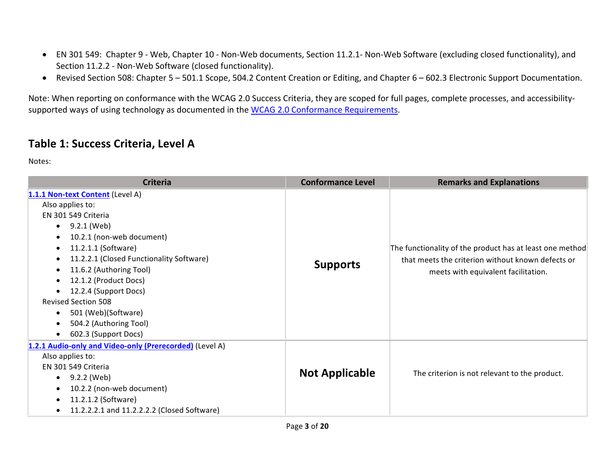- EN 301 549: Chapter 9 Web, Chapter 10 Non-Web documents, Section 11.2.1- Non-Web Software (excluding closed functionality), and Section 11.2.2 - Non-Web Software (closed functionality).
- Revised Section 508: Chapter 5 501.1 Scope, 504.2 Content Creation or Editing, and Chapter 6 602.3 Electronic Support Documentation.

Note: When reporting on conformance with the WCAG 2.0 Success Criteria, they are scoped for full pages, complete processes, and accessibilitysupported ways of using technology as documented in the WCAG 2.0 Conformance Requirements.

#### **Table 1: Success Criteria, Level A**

Notes:

| <b>Criteria</b>                                                                                                                                                                                                                                                                                                                                                                                                                                                                     | <b>Conformance Level</b> | <b>Remarks and Explanations</b>                                                                                                                      |
|-------------------------------------------------------------------------------------------------------------------------------------------------------------------------------------------------------------------------------------------------------------------------------------------------------------------------------------------------------------------------------------------------------------------------------------------------------------------------------------|--------------------------|------------------------------------------------------------------------------------------------------------------------------------------------------|
| 1.1.1 Non-text Content (Level A)<br>Also applies to:<br>EN 301 549 Criteria<br>9.2.1 (Web)<br>$\bullet$<br>10.2.1 (non-web document)<br>$\bullet$<br>11.2.1.1 (Software)<br>$\bullet$<br>11.2.2.1 (Closed Functionality Software)<br>$\bullet$<br>11.6.2 (Authoring Tool)<br>٠<br>12.1.2 (Product Docs)<br>$\bullet$<br>12.2.4 (Support Docs)<br><b>Revised Section 508</b><br>501 (Web)(Software)<br>٠<br>504.2 (Authoring Tool)<br>$\bullet$<br>602.3 (Support Docs)<br>$\bullet$ | <b>Supports</b>          | The functionality of the product has at least one method<br>that meets the criterion without known defects or<br>meets with equivalent facilitation. |
| 1.2.1 Audio-only and Video-only (Prerecorded) (Level A)<br>Also applies to:<br>EN 301 549 Criteria<br>9.2.2 (Web)<br>$\bullet$<br>10.2.2 (non-web document)<br>$\bullet$<br>11.2.1.2 (Software)<br>$\bullet$<br>11.2.2.2.1 and 11.2.2.2.2 (Closed Software)<br>$\bullet$                                                                                                                                                                                                            | <b>Not Applicable</b>    | The criterion is not relevant to the product.                                                                                                        |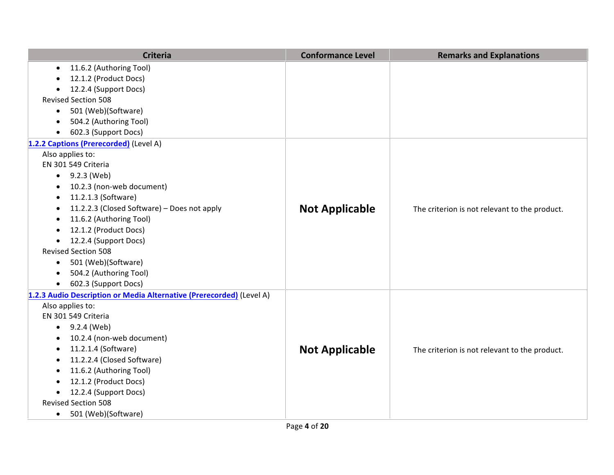| <b>Criteria</b>                                                      | <b>Conformance Level</b> | <b>Remarks and Explanations</b>               |
|----------------------------------------------------------------------|--------------------------|-----------------------------------------------|
| 11.6.2 (Authoring Tool)<br>$\bullet$                                 |                          |                                               |
| 12.1.2 (Product Docs)                                                |                          |                                               |
| 12.2.4 (Support Docs)                                                |                          |                                               |
| <b>Revised Section 508</b>                                           |                          |                                               |
| 501 (Web)(Software)<br>$\bullet$                                     |                          |                                               |
| 504.2 (Authoring Tool)                                               |                          |                                               |
| 602.3 (Support Docs)                                                 |                          |                                               |
| 1.2.2 Captions (Prerecorded) (Level A)                               |                          |                                               |
| Also applies to:                                                     |                          |                                               |
| EN 301 549 Criteria                                                  |                          |                                               |
| $\bullet$ 9.2.3 (Web)                                                |                          |                                               |
| 10.2.3 (non-web document)                                            |                          |                                               |
| 11.2.1.3 (Software)                                                  |                          |                                               |
| 11.2.2.3 (Closed Software) - Does not apply                          | <b>Not Applicable</b>    | The criterion is not relevant to the product. |
| 11.6.2 (Authoring Tool)<br>$\bullet$                                 |                          |                                               |
| 12.1.2 (Product Docs)<br>$\bullet$                                   |                          |                                               |
| 12.2.4 (Support Docs)<br>$\bullet$                                   |                          |                                               |
| <b>Revised Section 508</b>                                           |                          |                                               |
| 501 (Web)(Software)<br>$\bullet$                                     |                          |                                               |
| 504.2 (Authoring Tool)<br>٠                                          |                          |                                               |
| 602.3 (Support Docs)<br>$\bullet$                                    |                          |                                               |
| 1.2.3 Audio Description or Media Alternative (Prerecorded) (Level A) |                          |                                               |
| Also applies to:                                                     |                          |                                               |
| EN 301 549 Criteria                                                  |                          |                                               |
| 9.2.4 (Web)<br>$\bullet$                                             |                          |                                               |
| 10.2.4 (non-web document)                                            |                          |                                               |
| 11.2.1.4 (Software)<br>$\bullet$                                     | <b>Not Applicable</b>    | The criterion is not relevant to the product. |
| 11.2.2.4 (Closed Software)                                           |                          |                                               |
| 11.6.2 (Authoring Tool)<br>$\bullet$                                 |                          |                                               |
| 12.1.2 (Product Docs)                                                |                          |                                               |
| 12.2.4 (Support Docs)                                                |                          |                                               |
| <b>Revised Section 508</b>                                           |                          |                                               |
| 501 (Web)(Software)<br>$\bullet$                                     |                          |                                               |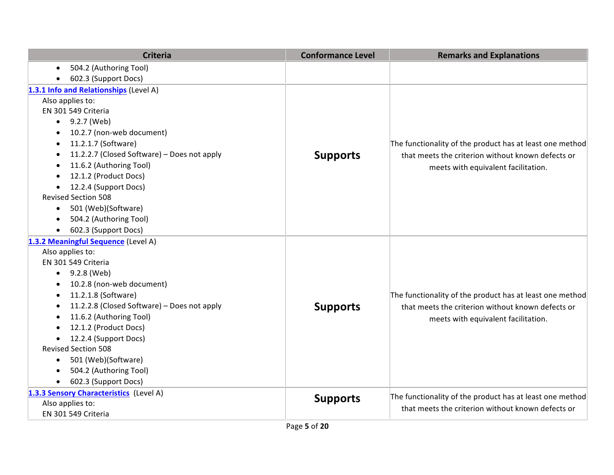| <b>Criteria</b>                             | <b>Conformance Level</b> | <b>Remarks and Explanations</b>                                                                                                                      |
|---------------------------------------------|--------------------------|------------------------------------------------------------------------------------------------------------------------------------------------------|
| 504.2 (Authoring Tool)<br>$\bullet$         |                          |                                                                                                                                                      |
| 602.3 (Support Docs)                        |                          |                                                                                                                                                      |
| 1.3.1 Info and Relationships (Level A)      |                          |                                                                                                                                                      |
| Also applies to:                            |                          |                                                                                                                                                      |
| EN 301 549 Criteria                         |                          |                                                                                                                                                      |
| 9.2.7 (Web)<br>$\bullet$                    |                          |                                                                                                                                                      |
| 10.2.7 (non-web document)                   |                          |                                                                                                                                                      |
| 11.2.1.7 (Software)<br>$\bullet$            |                          | The functionality of the product has at least one method                                                                                             |
| 11.2.2.7 (Closed Software) - Does not apply | <b>Supports</b>          | that meets the criterion without known defects or                                                                                                    |
| 11.6.2 (Authoring Tool)<br>$\bullet$        |                          | meets with equivalent facilitation.                                                                                                                  |
| 12.1.2 (Product Docs)                       |                          |                                                                                                                                                      |
| 12.2.4 (Support Docs)                       |                          |                                                                                                                                                      |
| <b>Revised Section 508</b>                  |                          |                                                                                                                                                      |
| 501 (Web)(Software)<br>$\bullet$            |                          |                                                                                                                                                      |
| 504.2 (Authoring Tool)                      |                          |                                                                                                                                                      |
| 602.3 (Support Docs)<br>$\bullet$           |                          |                                                                                                                                                      |
| 1.3.2 Meaningful Sequence (Level A)         |                          |                                                                                                                                                      |
| Also applies to:                            |                          |                                                                                                                                                      |
| EN 301 549 Criteria                         |                          |                                                                                                                                                      |
| 9.2.8 (Web)<br>$\bullet$                    |                          |                                                                                                                                                      |
| 10.2.8 (non-web document)                   |                          |                                                                                                                                                      |
| 11.2.1.8 (Software)<br>$\bullet$            |                          | The functionality of the product has at least one method<br>that meets the criterion without known defects or<br>meets with equivalent facilitation. |
| 11.2.2.8 (Closed Software) - Does not apply | <b>Supports</b>          |                                                                                                                                                      |
| 11.6.2 (Authoring Tool)                     |                          |                                                                                                                                                      |
| 12.1.2 (Product Docs)<br>$\bullet$          |                          |                                                                                                                                                      |
| 12.2.4 (Support Docs)<br>$\bullet$          |                          |                                                                                                                                                      |
| <b>Revised Section 508</b>                  |                          |                                                                                                                                                      |
| 501 (Web)(Software)<br>$\bullet$            |                          |                                                                                                                                                      |
| 504.2 (Authoring Tool)                      |                          |                                                                                                                                                      |
| 602.3 (Support Docs)<br>$\bullet$           |                          |                                                                                                                                                      |
| 1.3.3 Sensory Characteristics (Level A)     | <b>Supports</b>          | The functionality of the product has at least one method                                                                                             |
| Also applies to:                            |                          | that meets the criterion without known defects or                                                                                                    |
| EN 301 549 Criteria                         |                          |                                                                                                                                                      |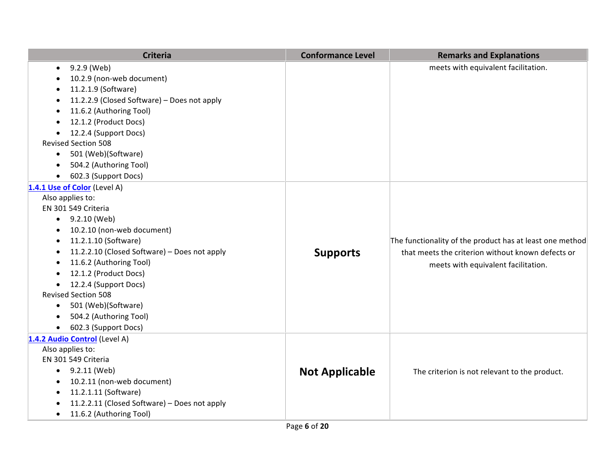| <b>Criteria</b>                              | <b>Conformance Level</b> | <b>Remarks and Explanations</b>                          |
|----------------------------------------------|--------------------------|----------------------------------------------------------|
| 9.2.9 (Web)<br>$\bullet$                     |                          | meets with equivalent facilitation.                      |
| 10.2.9 (non-web document)                    |                          |                                                          |
| 11.2.1.9 (Software)                          |                          |                                                          |
| 11.2.2.9 (Closed Software) - Does not apply  |                          |                                                          |
| 11.6.2 (Authoring Tool)                      |                          |                                                          |
| 12.1.2 (Product Docs)                        |                          |                                                          |
| 12.2.4 (Support Docs)                        |                          |                                                          |
| <b>Revised Section 508</b>                   |                          |                                                          |
| 501 (Web)(Software)<br>$\bullet$             |                          |                                                          |
| 504.2 (Authoring Tool)<br>$\bullet$          |                          |                                                          |
| 602.3 (Support Docs)<br>$\bullet$            |                          |                                                          |
| 1.4.1 Use of Color (Level A)                 |                          |                                                          |
| Also applies to:                             |                          |                                                          |
| EN 301 549 Criteria                          |                          |                                                          |
| 9.2.10 (Web)<br>$\bullet$                    |                          |                                                          |
| 10.2.10 (non-web document)<br>$\bullet$      |                          |                                                          |
| 11.2.1.10 (Software)<br>$\bullet$            |                          | The functionality of the product has at least one method |
| 11.2.2.10 (Closed Software) - Does not apply | <b>Supports</b>          | that meets the criterion without known defects or        |
| 11.6.2 (Authoring Tool)                      |                          | meets with equivalent facilitation.                      |
| 12.1.2 (Product Docs)                        |                          |                                                          |
| 12.2.4 (Support Docs)<br>$\bullet$           |                          |                                                          |
| <b>Revised Section 508</b>                   |                          |                                                          |
| 501 (Web)(Software)<br>$\bullet$             |                          |                                                          |
| 504.2 (Authoring Tool)                       |                          |                                                          |
| 602.3 (Support Docs)                         |                          |                                                          |
| 1.4.2 Audio Control (Level A)                |                          |                                                          |
| Also applies to:                             |                          |                                                          |
| EN 301 549 Criteria                          |                          |                                                          |
| $-9.2.11$ (Web)                              | <b>Not Applicable</b>    | The criterion is not relevant to the product.            |
| 10.2.11 (non-web document)                   |                          |                                                          |
| 11.2.1.11 (Software)                         |                          |                                                          |
| 11.2.2.11 (Closed Software) - Does not apply |                          |                                                          |
| 11.6.2 (Authoring Tool)<br>$\bullet$         |                          |                                                          |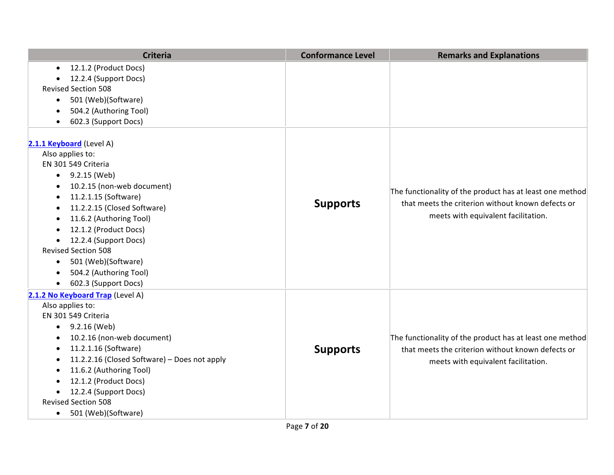| <b>Criteria</b>                                           | <b>Conformance Level</b> | <b>Remarks and Explanations</b>                                                                                                                      |
|-----------------------------------------------------------|--------------------------|------------------------------------------------------------------------------------------------------------------------------------------------------|
| 12.1.2 (Product Docs)<br>$\bullet$                        |                          |                                                                                                                                                      |
| 12.2.4 (Support Docs)                                     |                          |                                                                                                                                                      |
| <b>Revised Section 508</b>                                |                          |                                                                                                                                                      |
| 501 (Web)(Software)<br>$\bullet$                          |                          |                                                                                                                                                      |
| 504.2 (Authoring Tool)                                    |                          |                                                                                                                                                      |
| 602.3 (Support Docs)                                      |                          |                                                                                                                                                      |
| 2.1.1 Keyboard (Level A)                                  |                          |                                                                                                                                                      |
| Also applies to:                                          |                          |                                                                                                                                                      |
| EN 301 549 Criteria                                       |                          |                                                                                                                                                      |
| $-9.2.15$ (Web)                                           |                          |                                                                                                                                                      |
| 10.2.15 (non-web document)                                |                          |                                                                                                                                                      |
| 11.2.1.15 (Software)<br>٠                                 |                          | The functionality of the product has at least one method<br>that meets the criterion without known defects or<br>meets with equivalent facilitation. |
| 11.2.2.15 (Closed Software)<br>$\bullet$                  | <b>Supports</b>          |                                                                                                                                                      |
| 11.6.2 (Authoring Tool)<br>$\bullet$                      |                          |                                                                                                                                                      |
| 12.1.2 (Product Docs)                                     |                          |                                                                                                                                                      |
| 12.2.4 (Support Docs)<br>$\bullet$                        |                          |                                                                                                                                                      |
| <b>Revised Section 508</b>                                |                          |                                                                                                                                                      |
| 501 (Web)(Software)<br>$\bullet$                          |                          |                                                                                                                                                      |
| 504.2 (Authoring Tool)                                    |                          |                                                                                                                                                      |
| 602.3 (Support Docs)<br>$\bullet$                         |                          |                                                                                                                                                      |
| 2.1.2 No Keyboard Trap (Level A)                          |                          |                                                                                                                                                      |
| Also applies to:                                          |                          |                                                                                                                                                      |
| EN 301 549 Criteria                                       |                          |                                                                                                                                                      |
| 9.2.16 (Web)<br>٠                                         |                          |                                                                                                                                                      |
| 10.2.16 (non-web document)                                |                          | The functionality of the product has at least one method                                                                                             |
| 11.2.1.16 (Software)<br>$\bullet$                         | <b>Supports</b>          | that meets the criterion without known defects or                                                                                                    |
| 11.2.2.16 (Closed Software) - Does not apply<br>$\bullet$ |                          | meets with equivalent facilitation.                                                                                                                  |
| 11.6.2 (Authoring Tool)                                   |                          |                                                                                                                                                      |
| 12.1.2 (Product Docs)                                     |                          |                                                                                                                                                      |
| 12.2.4 (Support Docs)<br>$\bullet$                        |                          |                                                                                                                                                      |
| <b>Revised Section 508</b>                                |                          |                                                                                                                                                      |
| 501 (Web)(Software)<br>$\bullet$                          |                          |                                                                                                                                                      |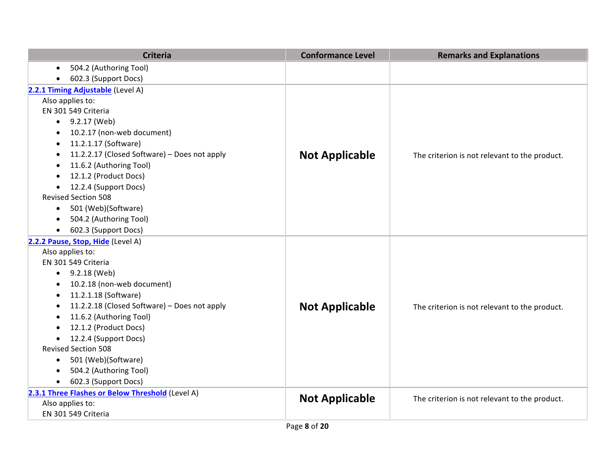| <b>Criteria</b>                                           | <b>Conformance Level</b> | <b>Remarks and Explanations</b>               |
|-----------------------------------------------------------|--------------------------|-----------------------------------------------|
| 504.2 (Authoring Tool)<br>$\bullet$                       |                          |                                               |
| 602.3 (Support Docs)                                      |                          |                                               |
| 2.2.1 Timing Adjustable (Level A)                         |                          |                                               |
| Also applies to:                                          |                          |                                               |
| EN 301 549 Criteria                                       |                          |                                               |
| 9.2.17 (Web)<br>$\bullet$                                 |                          |                                               |
| 10.2.17 (non-web document)<br>$\bullet$                   |                          |                                               |
| 11.2.1.17 (Software)<br>$\bullet$                         |                          |                                               |
| 11.2.2.17 (Closed Software) - Does not apply<br>$\bullet$ | <b>Not Applicable</b>    | The criterion is not relevant to the product. |
| 11.6.2 (Authoring Tool)<br>$\bullet$                      |                          |                                               |
| 12.1.2 (Product Docs)<br>$\bullet$                        |                          |                                               |
| 12.2.4 (Support Docs)<br>$\bullet$                        |                          |                                               |
| <b>Revised Section 508</b>                                |                          |                                               |
| 501 (Web)(Software)<br>$\bullet$                          |                          |                                               |
| 504.2 (Authoring Tool)<br>$\bullet$                       |                          |                                               |
| 602.3 (Support Docs)<br>$\bullet$                         |                          |                                               |
| 2.2.2 Pause, Stop, Hide (Level A)                         |                          |                                               |
| Also applies to:                                          |                          |                                               |
| EN 301 549 Criteria                                       |                          |                                               |
| 9.2.18 (Web)<br>$\bullet$                                 |                          |                                               |
| 10.2.18 (non-web document)<br>$\bullet$                   |                          |                                               |
| 11.2.1.18 (Software)<br>$\bullet$                         |                          |                                               |
| 11.2.2.18 (Closed Software) - Does not apply<br>$\bullet$ | <b>Not Applicable</b>    | The criterion is not relevant to the product. |
| 11.6.2 (Authoring Tool)                                   |                          |                                               |
| 12.1.2 (Product Docs)<br>$\bullet$                        |                          |                                               |
| 12.2.4 (Support Docs)<br>$\bullet$                        |                          |                                               |
| <b>Revised Section 508</b>                                |                          |                                               |
| 501 (Web)(Software)<br>$\bullet$                          |                          |                                               |
| 504.2 (Authoring Tool)<br>$\bullet$                       |                          |                                               |
| 602.3 (Support Docs)<br>$\bullet$                         |                          |                                               |
| 2.3.1 Three Flashes or Below Threshold (Level A)          | <b>Not Applicable</b>    | The criterion is not relevant to the product. |
| Also applies to:                                          |                          |                                               |
| EN 301 549 Criteria                                       |                          |                                               |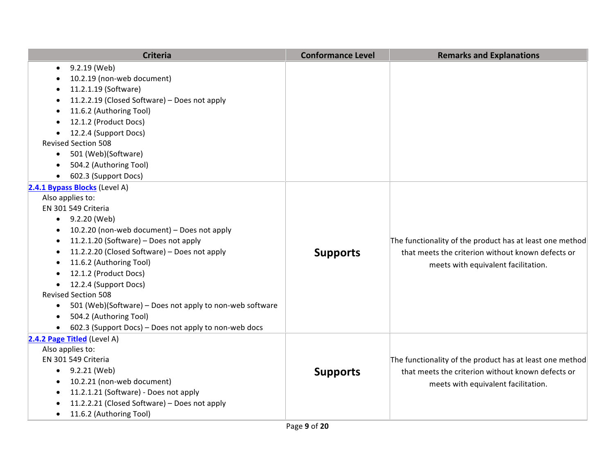| <b>Criteria</b>                                                       | <b>Conformance Level</b> | <b>Remarks and Explanations</b>                          |
|-----------------------------------------------------------------------|--------------------------|----------------------------------------------------------|
| 9.2.19 (Web)<br>$\bullet$                                             |                          |                                                          |
| 10.2.19 (non-web document)                                            |                          |                                                          |
| 11.2.1.19 (Software)                                                  |                          |                                                          |
| 11.2.2.19 (Closed Software) - Does not apply                          |                          |                                                          |
| 11.6.2 (Authoring Tool)                                               |                          |                                                          |
| 12.1.2 (Product Docs)                                                 |                          |                                                          |
| 12.2.4 (Support Docs)                                                 |                          |                                                          |
| <b>Revised Section 508</b>                                            |                          |                                                          |
| 501 (Web)(Software)<br>$\bullet$                                      |                          |                                                          |
| 504.2 (Authoring Tool)                                                |                          |                                                          |
| 602.3 (Support Docs)                                                  |                          |                                                          |
| 2.4.1 Bypass Blocks (Level A)                                         |                          |                                                          |
| Also applies to:                                                      |                          |                                                          |
| EN 301 549 Criteria                                                   |                          |                                                          |
| $-9.2.20$ (Web)                                                       |                          |                                                          |
| 10.2.20 (non-web document) - Does not apply                           |                          |                                                          |
| 11.2.1.20 (Software) - Does not apply                                 |                          | The functionality of the product has at least one method |
| 11.2.2.20 (Closed Software) - Does not apply                          | <b>Supports</b>          | that meets the criterion without known defects or        |
| 11.6.2 (Authoring Tool)                                               |                          | meets with equivalent facilitation.                      |
| 12.1.2 (Product Docs)                                                 |                          |                                                          |
| 12.2.4 (Support Docs)                                                 |                          |                                                          |
| <b>Revised Section 508</b>                                            |                          |                                                          |
| 501 (Web)(Software) – Does not apply to non-web software<br>$\bullet$ |                          |                                                          |
| 504.2 (Authoring Tool)                                                |                          |                                                          |
| 602.3 (Support Docs) – Does not apply to non-web docs<br>$\bullet$    |                          |                                                          |
| 2.4.2 Page Titled (Level A)                                           |                          |                                                          |
| Also applies to:                                                      |                          |                                                          |
| EN 301 549 Criteria                                                   |                          | The functionality of the product has at least one method |
| $-9.2.21$ (Web)                                                       | <b>Supports</b>          | that meets the criterion without known defects or        |
| 10.2.21 (non-web document)                                            |                          | meets with equivalent facilitation.                      |
| 11.2.1.21 (Software) - Does not apply                                 |                          |                                                          |
| 11.2.2.21 (Closed Software) - Does not apply                          |                          |                                                          |
| 11.6.2 (Authoring Tool)<br>$\bullet$                                  |                          |                                                          |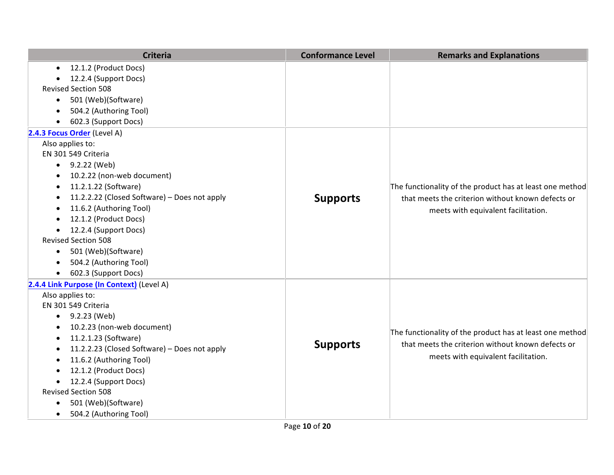| <b>Criteria</b>                                   | <b>Conformance Level</b> | <b>Remarks and Explanations</b>                                                          |
|---------------------------------------------------|--------------------------|------------------------------------------------------------------------------------------|
| 12.1.2 (Product Docs)<br>$\bullet$                |                          |                                                                                          |
| 12.2.4 (Support Docs)                             |                          |                                                                                          |
| <b>Revised Section 508</b>                        |                          |                                                                                          |
| 501 (Web)(Software)<br>$\bullet$                  |                          |                                                                                          |
| 504.2 (Authoring Tool)<br>$\bullet$               |                          |                                                                                          |
| 602.3 (Support Docs)                              |                          |                                                                                          |
| 2.4.3 Focus Order (Level A)                       |                          |                                                                                          |
| Also applies to:                                  |                          |                                                                                          |
| EN 301 549 Criteria                               |                          |                                                                                          |
| $\bullet$ 9.2.22 (Web)                            |                          |                                                                                          |
| 10.2.22 (non-web document)<br>$\bullet$           |                          |                                                                                          |
| 11.2.1.22 (Software)<br>$\bullet$                 |                          | The functionality of the product has at least one method                                 |
| 11.2.2.22 (Closed Software) - Does not apply<br>٠ | <b>Supports</b>          | that meets the criterion without known defects or<br>meets with equivalent facilitation. |
| 11.6.2 (Authoring Tool)<br>$\bullet$              |                          |                                                                                          |
| 12.1.2 (Product Docs)<br>$\bullet$                |                          |                                                                                          |
| 12.2.4 (Support Docs)<br>$\bullet$                |                          |                                                                                          |
| <b>Revised Section 508</b>                        |                          |                                                                                          |
| 501 (Web)(Software)<br>$\bullet$                  |                          |                                                                                          |
| 504.2 (Authoring Tool)<br>$\bullet$               |                          |                                                                                          |
| 602.3 (Support Docs)<br>$\bullet$                 |                          |                                                                                          |
| 2.4.4 Link Purpose (In Context) (Level A)         |                          |                                                                                          |
| Also applies to:                                  |                          |                                                                                          |
| EN 301 549 Criteria                               |                          |                                                                                          |
| 9.2.23 (Web)<br>$\bullet$                         |                          | The functionality of the product has at least one method                                 |
| 10.2.23 (non-web document)<br>$\bullet$           |                          |                                                                                          |
| 11.2.1.23 (Software)<br>$\bullet$                 |                          |                                                                                          |
| 11.2.2.23 (Closed Software) - Does not apply<br>٠ | <b>Supports</b>          | that meets the criterion without known defects or                                        |
| 11.6.2 (Authoring Tool)                           |                          | meets with equivalent facilitation.                                                      |
| 12.1.2 (Product Docs)<br>٠                        |                          |                                                                                          |
| 12.2.4 (Support Docs)<br>$\bullet$                |                          |                                                                                          |
| <b>Revised Section 508</b>                        |                          |                                                                                          |
| 501 (Web)(Software)<br>$\bullet$                  |                          |                                                                                          |
| 504.2 (Authoring Tool)<br>$\bullet$               |                          |                                                                                          |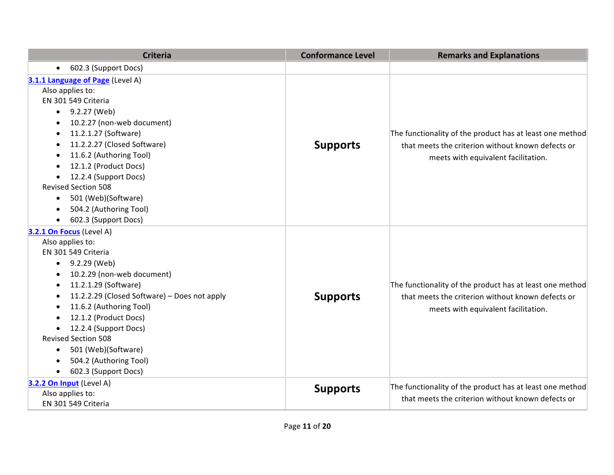| <b>Criteria</b>                                           | <b>Conformance Level</b> | <b>Remarks and Explanations</b>                          |
|-----------------------------------------------------------|--------------------------|----------------------------------------------------------|
| 602.3 (Support Docs)<br>$\bullet$                         |                          |                                                          |
| 3.1.1 Language of Page (Level A)                          |                          |                                                          |
| Also applies to:                                          |                          |                                                          |
| EN 301 549 Criteria                                       |                          |                                                          |
| 9.2.27 (Web)<br>$\bullet$                                 |                          | The functionality of the product has at least one method |
| 10.2.27 (non-web document)<br>$\bullet$                   |                          |                                                          |
| 11.2.1.27 (Software)<br>$\bullet$                         |                          |                                                          |
| 11.2.2.27 (Closed Software)<br>٠                          | <b>Supports</b>          | that meets the criterion without known defects or        |
| 11.6.2 (Authoring Tool)<br>$\bullet$                      |                          | meets with equivalent facilitation.                      |
| 12.1.2 (Product Docs)<br>$\bullet$                        |                          |                                                          |
| 12.2.4 (Support Docs)                                     |                          |                                                          |
| <b>Revised Section 508</b>                                |                          |                                                          |
| 501 (Web)(Software)<br>$\bullet$                          |                          |                                                          |
| 504.2 (Authoring Tool)<br>$\bullet$                       |                          |                                                          |
| 602.3 (Support Docs)                                      |                          |                                                          |
| 3.2.1 On Focus (Level A)                                  |                          |                                                          |
| Also applies to:                                          |                          |                                                          |
| EN 301 549 Criteria                                       |                          |                                                          |
| 9.2.29 (Web)<br>$\bullet$                                 |                          |                                                          |
| 10.2.29 (non-web document)                                |                          |                                                          |
| 11.2.1.29 (Software)<br>$\bullet$                         |                          | The functionality of the product has at least one method |
| 11.2.2.29 (Closed Software) - Does not apply<br>$\bullet$ | <b>Supports</b>          | that meets the criterion without known defects or        |
| 11.6.2 (Authoring Tool)                                   |                          | meets with equivalent facilitation.                      |
| 12.1.2 (Product Docs)                                     |                          |                                                          |
| 12.2.4 (Support Docs)                                     |                          |                                                          |
| <b>Revised Section 508</b>                                |                          |                                                          |
| 501 (Web)(Software)<br>$\bullet$                          |                          |                                                          |
| 504.2 (Authoring Tool)                                    |                          |                                                          |
| 602.3 (Support Docs)<br>$\bullet$                         |                          |                                                          |
| 3.2.2 On Input (Level A)                                  | <b>Supports</b>          | The functionality of the product has at least one method |
| Also applies to:                                          |                          | that meets the criterion without known defects or        |
| EN 301 549 Criteria                                       |                          |                                                          |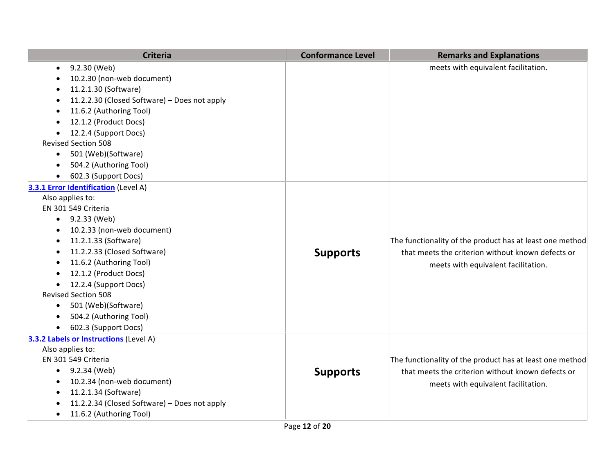| <b>Criteria</b>                                           | <b>Conformance Level</b> | <b>Remarks and Explanations</b>                          |
|-----------------------------------------------------------|--------------------------|----------------------------------------------------------|
| 9.2.30 (Web)<br>$\bullet$                                 |                          | meets with equivalent facilitation.                      |
| 10.2.30 (non-web document)                                |                          |                                                          |
| 11.2.1.30 (Software)                                      |                          |                                                          |
| 11.2.2.30 (Closed Software) - Does not apply<br>$\bullet$ |                          |                                                          |
| 11.6.2 (Authoring Tool)                                   |                          |                                                          |
| 12.1.2 (Product Docs)                                     |                          |                                                          |
| 12.2.4 (Support Docs)                                     |                          |                                                          |
| <b>Revised Section 508</b>                                |                          |                                                          |
| 501 (Web)(Software)<br>$\bullet$                          |                          |                                                          |
| 504.2 (Authoring Tool)<br>$\bullet$                       |                          |                                                          |
| 602.3 (Support Docs)                                      |                          |                                                          |
| 3.3.1 Error Identification (Level A)                      |                          |                                                          |
| Also applies to:                                          |                          |                                                          |
| EN 301 549 Criteria                                       |                          |                                                          |
| 9.2.33 (Web)<br>$\bullet$                                 |                          |                                                          |
| 10.2.33 (non-web document)                                |                          |                                                          |
| 11.2.1.33 (Software)                                      |                          | The functionality of the product has at least one method |
| 11.2.2.33 (Closed Software)                               | <b>Supports</b>          | that meets the criterion without known defects or        |
| 11.6.2 (Authoring Tool)                                   |                          | meets with equivalent facilitation.                      |
| 12.1.2 (Product Docs)                                     |                          |                                                          |
| 12.2.4 (Support Docs)<br>$\bullet$                        |                          |                                                          |
| <b>Revised Section 508</b>                                |                          |                                                          |
| 501 (Web)(Software)<br>$\bullet$                          |                          |                                                          |
| 504.2 (Authoring Tool)                                    |                          |                                                          |
| 602.3 (Support Docs)                                      |                          |                                                          |
| 3.3.2 Labels or Instructions (Level A)                    |                          |                                                          |
| Also applies to:                                          |                          |                                                          |
| EN 301 549 Criteria                                       |                          | The functionality of the product has at least one method |
| 9.2.34 (Web)<br>$\bullet$                                 | <b>Supports</b>          | that meets the criterion without known defects or        |
| 10.2.34 (non-web document)                                |                          | meets with equivalent facilitation.                      |
| 11.2.1.34 (Software)                                      |                          |                                                          |
| 11.2.2.34 (Closed Software) - Does not apply              |                          |                                                          |
| 11.6.2 (Authoring Tool)<br>$\bullet$                      |                          |                                                          |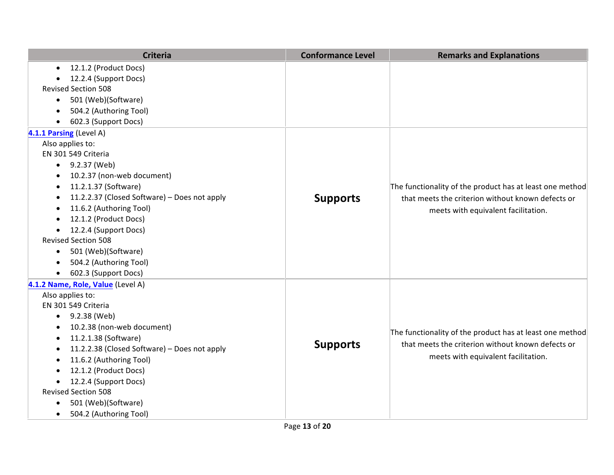| <b>Criteria</b>                                           | <b>Conformance Level</b> | <b>Remarks and Explanations</b>                                                                                                                      |
|-----------------------------------------------------------|--------------------------|------------------------------------------------------------------------------------------------------------------------------------------------------|
| 12.1.2 (Product Docs)<br>$\bullet$                        |                          |                                                                                                                                                      |
| 12.2.4 (Support Docs)                                     |                          |                                                                                                                                                      |
| <b>Revised Section 508</b>                                |                          |                                                                                                                                                      |
| 501 (Web)(Software)<br>$\bullet$                          |                          |                                                                                                                                                      |
| 504.2 (Authoring Tool)<br>$\bullet$                       |                          |                                                                                                                                                      |
| 602.3 (Support Docs)                                      |                          |                                                                                                                                                      |
| 4.1.1 Parsing (Level A)                                   |                          |                                                                                                                                                      |
| Also applies to:                                          |                          |                                                                                                                                                      |
| EN 301 549 Criteria                                       |                          |                                                                                                                                                      |
| $\bullet$ 9.2.37 (Web)                                    |                          |                                                                                                                                                      |
| 10.2.37 (non-web document)                                |                          |                                                                                                                                                      |
| 11.2.1.37 (Software)<br>$\bullet$                         |                          | The functionality of the product has at least one method<br>that meets the criterion without known defects or<br>meets with equivalent facilitation. |
| 11.2.2.37 (Closed Software) - Does not apply<br>$\bullet$ | <b>Supports</b>          |                                                                                                                                                      |
| 11.6.2 (Authoring Tool)<br>$\bullet$                      |                          |                                                                                                                                                      |
| 12.1.2 (Product Docs)                                     |                          |                                                                                                                                                      |
| 12.2.4 (Support Docs)<br>$\bullet$                        |                          |                                                                                                                                                      |
| <b>Revised Section 508</b>                                |                          |                                                                                                                                                      |
| 501 (Web)(Software)<br>$\bullet$                          |                          |                                                                                                                                                      |
| 504.2 (Authoring Tool)<br>$\bullet$                       |                          |                                                                                                                                                      |
| 602.3 (Support Docs)<br>$\bullet$                         |                          |                                                                                                                                                      |
| 4.1.2 Name, Role, Value (Level A)                         |                          |                                                                                                                                                      |
| Also applies to:                                          |                          |                                                                                                                                                      |
| EN 301 549 Criteria                                       |                          |                                                                                                                                                      |
| 9.2.38 (Web)<br>$\bullet$                                 |                          | The functionality of the product has at least one method<br>that meets the criterion without known defects or<br>meets with equivalent facilitation. |
| 10.2.38 (non-web document)                                |                          |                                                                                                                                                      |
| 11.2.1.38 (Software)<br>$\bullet$                         |                          |                                                                                                                                                      |
| 11.2.2.38 (Closed Software) - Does not apply<br>$\bullet$ | <b>Supports</b>          |                                                                                                                                                      |
| 11.6.2 (Authoring Tool)                                   |                          |                                                                                                                                                      |
| 12.1.2 (Product Docs)<br>$\bullet$                        |                          |                                                                                                                                                      |
| 12.2.4 (Support Docs)<br>$\bullet$                        |                          |                                                                                                                                                      |
| <b>Revised Section 508</b>                                |                          |                                                                                                                                                      |
| 501 (Web)(Software)<br>$\bullet$                          |                          |                                                                                                                                                      |
| 504.2 (Authoring Tool)<br>$\bullet$                       |                          |                                                                                                                                                      |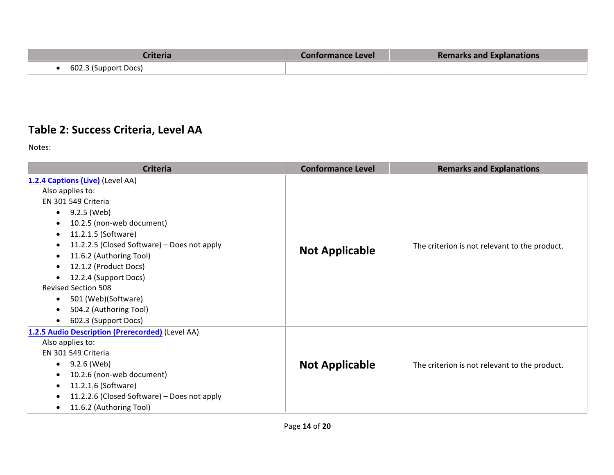| riteria:             | <b>Conformance Level</b> | <b>Remarks and Explanations</b> |
|----------------------|--------------------------|---------------------------------|
| 602.3 (Support Docs) |                          |                                 |

#### **Table 2: Success Criteria, Level AA**

Notes:

| <b>Criteria</b>                                  | <b>Conformance Level</b> | <b>Remarks and Explanations</b>               |
|--------------------------------------------------|--------------------------|-----------------------------------------------|
| 1.2.4 Captions (Live) (Level AA)                 | <b>Not Applicable</b>    | The criterion is not relevant to the product. |
| Also applies to:                                 |                          |                                               |
| EN 301 549 Criteria                              |                          |                                               |
| 9.2.5 (Web)<br>$\bullet$                         |                          |                                               |
| 10.2.5 (non-web document)<br>٠                   |                          |                                               |
| 11.2.1.5 (Software)<br>٠                         |                          |                                               |
| 11.2.2.5 (Closed Software) - Does not apply      |                          |                                               |
| 11.6.2 (Authoring Tool)<br>٠                     |                          |                                               |
| 12.1.2 (Product Docs)<br>$\bullet$               |                          |                                               |
| 12.2.4 (Support Docs)                            |                          |                                               |
| <b>Revised Section 508</b>                       |                          |                                               |
| 501 (Web)(Software)<br>$\bullet$                 |                          |                                               |
| 504.2 (Authoring Tool)                           |                          |                                               |
| 602.3 (Support Docs)<br>$\bullet$                |                          |                                               |
| 1.2.5 Audio Description (Prerecorded) (Level AA) |                          |                                               |
| Also applies to:                                 | <b>Not Applicable</b>    | The criterion is not relevant to the product. |
| EN 301 549 Criteria                              |                          |                                               |
| 9.2.6 (Web)<br>٠                                 |                          |                                               |
| 10.2.6 (non-web document)<br>٠                   |                          |                                               |
| 11.2.1.6 (Software)                              |                          |                                               |
| 11.2.2.6 (Closed Software) - Does not apply      |                          |                                               |
| 11.6.2 (Authoring Tool)<br>٠                     |                          |                                               |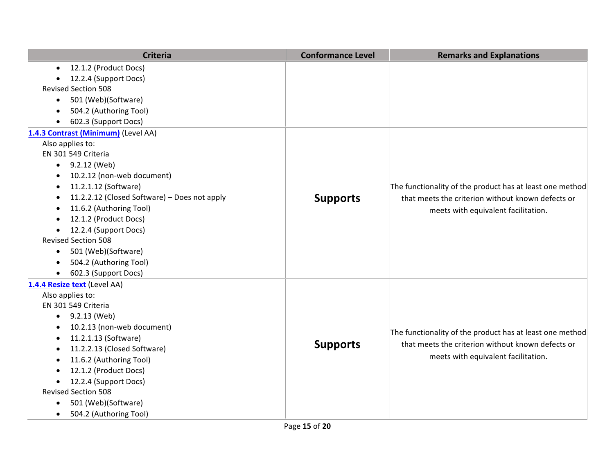|           | <b>Criteria</b>                              | <b>Conformance Level</b> | <b>Remarks and Explanations</b>                                                                                                                      |
|-----------|----------------------------------------------|--------------------------|------------------------------------------------------------------------------------------------------------------------------------------------------|
| $\bullet$ | 12.1.2 (Product Docs)                        |                          |                                                                                                                                                      |
|           | 12.2.4 (Support Docs)                        |                          |                                                                                                                                                      |
|           | <b>Revised Section 508</b>                   |                          |                                                                                                                                                      |
| $\bullet$ | 501 (Web)(Software)                          |                          |                                                                                                                                                      |
|           | 504.2 (Authoring Tool)                       |                          |                                                                                                                                                      |
| $\bullet$ | 602.3 (Support Docs)                         |                          |                                                                                                                                                      |
|           | 1.4.3 Contrast (Minimum) (Level AA)          |                          |                                                                                                                                                      |
|           | Also applies to:                             |                          |                                                                                                                                                      |
|           | EN 301 549 Criteria                          |                          |                                                                                                                                                      |
| $\bullet$ | 9.2.12 (Web)                                 |                          |                                                                                                                                                      |
| $\bullet$ | 10.2.12 (non-web document)                   |                          |                                                                                                                                                      |
| $\bullet$ | 11.2.1.12 (Software)                         | <b>Supports</b>          | The functionality of the product has at least one method<br>that meets the criterion without known defects or<br>meets with equivalent facilitation. |
| $\bullet$ | 11.2.2.12 (Closed Software) - Does not apply |                          |                                                                                                                                                      |
| $\bullet$ | 11.6.2 (Authoring Tool)                      |                          |                                                                                                                                                      |
| $\bullet$ | 12.1.2 (Product Docs)                        |                          |                                                                                                                                                      |
|           | 12.2.4 (Support Docs)                        |                          |                                                                                                                                                      |
|           | <b>Revised Section 508</b>                   |                          |                                                                                                                                                      |
| $\bullet$ | 501 (Web)(Software)                          |                          |                                                                                                                                                      |
|           | 504.2 (Authoring Tool)                       |                          |                                                                                                                                                      |
| $\bullet$ | 602.3 (Support Docs)                         |                          |                                                                                                                                                      |
|           | 1.4.4 Resize text (Level AA)                 |                          |                                                                                                                                                      |
|           | Also applies to:                             |                          |                                                                                                                                                      |
|           | EN 301 549 Criteria                          |                          | The functionality of the product has at least one method<br>that meets the criterion without known defects or<br>meets with equivalent facilitation. |
| $\bullet$ | 9.2.13 (Web)                                 |                          |                                                                                                                                                      |
| $\bullet$ | 10.2.13 (non-web document)                   |                          |                                                                                                                                                      |
| $\bullet$ | 11.2.1.13 (Software)                         | <b>Supports</b>          |                                                                                                                                                      |
|           | 11.2.2.13 (Closed Software)                  |                          |                                                                                                                                                      |
|           | 11.6.2 (Authoring Tool)                      |                          |                                                                                                                                                      |
|           | 12.1.2 (Product Docs)                        |                          |                                                                                                                                                      |
|           | 12.2.4 (Support Docs)                        |                          |                                                                                                                                                      |
|           | <b>Revised Section 508</b>                   |                          |                                                                                                                                                      |
| $\bullet$ | 501 (Web)(Software)                          |                          |                                                                                                                                                      |
| $\bullet$ | 504.2 (Authoring Tool)                       |                          |                                                                                                                                                      |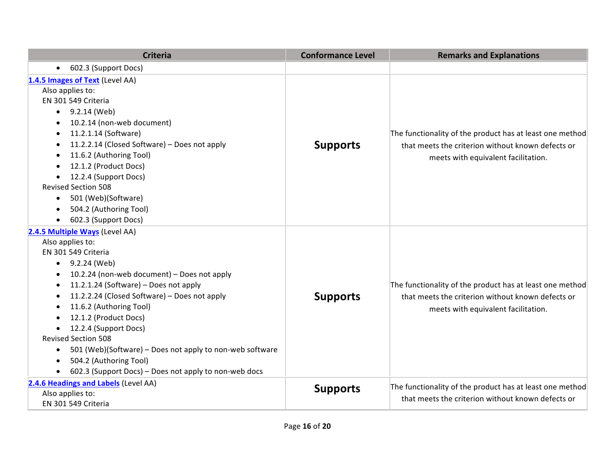| <b>Criteria</b>                                                       | <b>Conformance Level</b> | <b>Remarks and Explanations</b>                                                                                                                      |
|-----------------------------------------------------------------------|--------------------------|------------------------------------------------------------------------------------------------------------------------------------------------------|
| 602.3 (Support Docs)<br>$\bullet$                                     |                          |                                                                                                                                                      |
| 1.4.5 Images of Text (Level AA)                                       |                          |                                                                                                                                                      |
| Also applies to:                                                      |                          | The functionality of the product has at least one method<br>that meets the criterion without known defects or<br>meets with equivalent facilitation. |
| EN 301 549 Criteria                                                   |                          |                                                                                                                                                      |
| 9.2.14 (Web)<br>$\bullet$                                             |                          |                                                                                                                                                      |
| 10.2.14 (non-web document)<br>$\bullet$                               |                          |                                                                                                                                                      |
| 11.2.1.14 (Software)<br>$\bullet$                                     |                          |                                                                                                                                                      |
| 11.2.2.14 (Closed Software) - Does not apply<br>٠                     | <b>Supports</b>          |                                                                                                                                                      |
| 11.6.2 (Authoring Tool)<br>$\bullet$                                  |                          |                                                                                                                                                      |
| 12.1.2 (Product Docs)<br>$\bullet$                                    |                          |                                                                                                                                                      |
| 12.2.4 (Support Docs)<br>$\bullet$                                    |                          |                                                                                                                                                      |
| <b>Revised Section 508</b>                                            |                          |                                                                                                                                                      |
| 501 (Web)(Software)<br>$\bullet$                                      |                          |                                                                                                                                                      |
| 504.2 (Authoring Tool)<br>$\bullet$                                   |                          |                                                                                                                                                      |
| 602.3 (Support Docs)                                                  |                          |                                                                                                                                                      |
| 2.4.5 Multiple Ways (Level AA)                                        |                          |                                                                                                                                                      |
| Also applies to:                                                      |                          | The functionality of the product has at least one method                                                                                             |
| EN 301 549 Criteria                                                   |                          |                                                                                                                                                      |
| $\bullet$ 9.2.24 (Web)                                                |                          |                                                                                                                                                      |
| 10.2.24 (non-web document) - Does not apply<br>$\bullet$              |                          |                                                                                                                                                      |
| 11.2.1.24 (Software) - Does not apply<br>$\bullet$                    |                          |                                                                                                                                                      |
| 11.2.2.24 (Closed Software) - Does not apply<br>$\bullet$             | <b>Supports</b>          | that meets the criterion without known defects or                                                                                                    |
| 11.6.2 (Authoring Tool)<br>$\bullet$                                  |                          | meets with equivalent facilitation.                                                                                                                  |
| 12.1.2 (Product Docs)                                                 |                          |                                                                                                                                                      |
| 12.2.4 (Support Docs)                                                 |                          |                                                                                                                                                      |
| <b>Revised Section 508</b>                                            |                          |                                                                                                                                                      |
| 501 (Web)(Software) - Does not apply to non-web software<br>$\bullet$ |                          |                                                                                                                                                      |
| 504.2 (Authoring Tool)                                                |                          |                                                                                                                                                      |
| 602.3 (Support Docs) - Does not apply to non-web docs<br>$\bullet$    |                          |                                                                                                                                                      |
| 2.4.6 Headings and Labels (Level AA)                                  | <b>Supports</b>          | The functionality of the product has at least one method                                                                                             |
| Also applies to:                                                      |                          | that meets the criterion without known defects or                                                                                                    |
| EN 301 549 Criteria                                                   |                          |                                                                                                                                                      |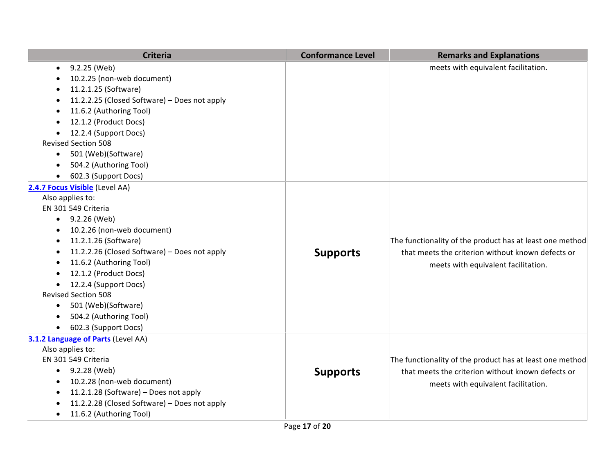| <b>Criteria</b>                                                                                                                                                                                                                                                                                                                                                                                                                 | <b>Conformance Level</b> | <b>Remarks and Explanations</b>                                                                                                                      |
|---------------------------------------------------------------------------------------------------------------------------------------------------------------------------------------------------------------------------------------------------------------------------------------------------------------------------------------------------------------------------------------------------------------------------------|--------------------------|------------------------------------------------------------------------------------------------------------------------------------------------------|
| 9.2.25 (Web)<br>$\bullet$<br>10.2.25 (non-web document)<br>11.2.1.25 (Software)<br>11.2.2.25 (Closed Software) - Does not apply<br>11.6.2 (Authoring Tool)<br>12.1.2 (Product Docs)<br>12.2.4 (Support Docs)<br><b>Revised Section 508</b><br>501 (Web)(Software)<br>$\bullet$<br>504.2 (Authoring Tool)<br>602.3 (Support Docs)                                                                                                |                          | meets with equivalent facilitation.                                                                                                                  |
| 2.4.7 Focus Visible (Level AA)<br>Also applies to:<br>EN 301 549 Criteria<br>9.2.26 (Web)<br>$\bullet$<br>10.2.26 (non-web document)<br>11.2.1.26 (Software)<br>٠<br>11.2.2.26 (Closed Software) - Does not apply<br>11.6.2 (Authoring Tool)<br>12.1.2 (Product Docs)<br>12.2.4 (Support Docs)<br>$\bullet$<br><b>Revised Section 508</b><br>501 (Web)(Software)<br>$\bullet$<br>504.2 (Authoring Tool)<br>602.3 (Support Docs) | <b>Supports</b>          | The functionality of the product has at least one method<br>that meets the criterion without known defects or<br>meets with equivalent facilitation. |
| 3.1.2 Language of Parts (Level AA)<br>Also applies to:<br>EN 301 549 Criteria<br>9.2.28 (Web)<br>$\bullet$<br>10.2.28 (non-web document)<br>11.2.1.28 (Software) - Does not apply<br>11.2.2.28 (Closed Software) - Does not apply<br>11.6.2 (Authoring Tool)<br>$\bullet$                                                                                                                                                       | <b>Supports</b>          | The functionality of the product has at least one method<br>that meets the criterion without known defects or<br>meets with equivalent facilitation. |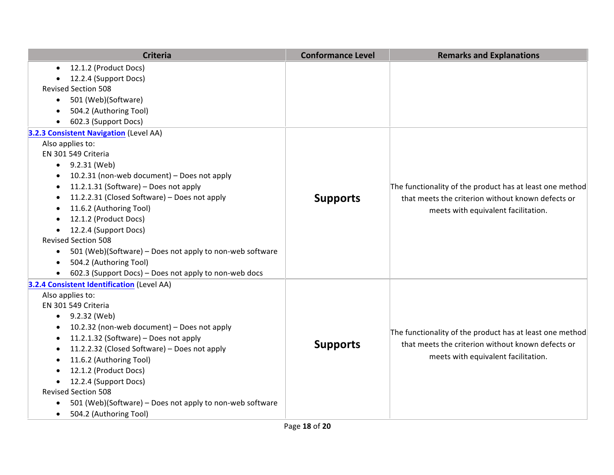| <b>Criteria</b>                                                       | <b>Conformance Level</b> | <b>Remarks and Explanations</b>                                                                                                                      |
|-----------------------------------------------------------------------|--------------------------|------------------------------------------------------------------------------------------------------------------------------------------------------|
| 12.1.2 (Product Docs)<br>$\bullet$                                    |                          |                                                                                                                                                      |
| 12.2.4 (Support Docs)                                                 |                          |                                                                                                                                                      |
| <b>Revised Section 508</b>                                            |                          |                                                                                                                                                      |
| 501 (Web)(Software)<br>$\bullet$                                      |                          |                                                                                                                                                      |
| 504.2 (Authoring Tool)                                                |                          |                                                                                                                                                      |
| 602.3 (Support Docs)                                                  |                          |                                                                                                                                                      |
| 3.2.3 Consistent Navigation (Level AA)                                |                          |                                                                                                                                                      |
| Also applies to:                                                      |                          |                                                                                                                                                      |
| EN 301 549 Criteria                                                   |                          |                                                                                                                                                      |
| $\bullet$ 9.2.31 (Web)                                                |                          |                                                                                                                                                      |
| 10.2.31 (non-web document) - Does not apply                           | <b>Supports</b>          |                                                                                                                                                      |
| 11.2.1.31 (Software) - Does not apply<br>٠                            |                          | The functionality of the product has at least one method<br>that meets the criterion without known defects or<br>meets with equivalent facilitation. |
| 11.2.2.31 (Closed Software) - Does not apply<br>$\bullet$             |                          |                                                                                                                                                      |
| 11.6.2 (Authoring Tool)<br>$\bullet$                                  |                          |                                                                                                                                                      |
| 12.1.2 (Product Docs)                                                 |                          |                                                                                                                                                      |
| 12.2.4 (Support Docs)                                                 |                          |                                                                                                                                                      |
| <b>Revised Section 508</b>                                            |                          |                                                                                                                                                      |
| 501 (Web)(Software) – Does not apply to non-web software<br>$\bullet$ |                          |                                                                                                                                                      |
| 504.2 (Authoring Tool)<br>$\bullet$                                   |                          |                                                                                                                                                      |
| 602.3 (Support Docs) - Does not apply to non-web docs<br>$\bullet$    |                          |                                                                                                                                                      |
| 3.2.4 Consistent Identification (Level AA)                            |                          |                                                                                                                                                      |
| Also applies to:                                                      |                          |                                                                                                                                                      |
| EN 301 549 Criteria                                                   |                          | The functionality of the product has at least one method<br>that meets the criterion without known defects or<br>meets with equivalent facilitation. |
| 9.2.32 (Web)<br>$\bullet$                                             |                          |                                                                                                                                                      |
| 10.2.32 (non-web document) - Does not apply                           |                          |                                                                                                                                                      |
| 11.2.1.32 (Software) - Does not apply<br>$\bullet$                    | <b>Supports</b>          |                                                                                                                                                      |
| 11.2.2.32 (Closed Software) - Does not apply<br>$\bullet$             |                          |                                                                                                                                                      |
| 11.6.2 (Authoring Tool)                                               |                          |                                                                                                                                                      |
| 12.1.2 (Product Docs)                                                 |                          |                                                                                                                                                      |
| 12.2.4 (Support Docs)                                                 |                          |                                                                                                                                                      |
| <b>Revised Section 508</b>                                            |                          |                                                                                                                                                      |
| 501 (Web)(Software) - Does not apply to non-web software<br>$\bullet$ |                          |                                                                                                                                                      |
| 504.2 (Authoring Tool)<br>$\bullet$                                   |                          |                                                                                                                                                      |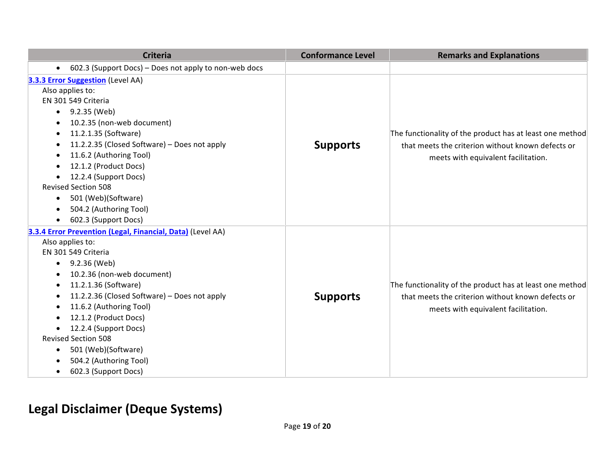| <b>Criteria</b>                                                    | <b>Conformance Level</b> | <b>Remarks and Explanations</b>                                                                                                                      |
|--------------------------------------------------------------------|--------------------------|------------------------------------------------------------------------------------------------------------------------------------------------------|
| 602.3 (Support Docs) - Does not apply to non-web docs<br>$\bullet$ |                          |                                                                                                                                                      |
| 3.3.3 Error Suggestion (Level AA)                                  |                          |                                                                                                                                                      |
| Also applies to:                                                   | <b>Supports</b>          | The functionality of the product has at least one method<br>that meets the criterion without known defects or<br>meets with equivalent facilitation. |
| EN 301 549 Criteria                                                |                          |                                                                                                                                                      |
| 9.2.35 (Web)<br>$\bullet$                                          |                          |                                                                                                                                                      |
| 10.2.35 (non-web document)                                         |                          |                                                                                                                                                      |
| 11.2.1.35 (Software)<br>$\bullet$                                  |                          |                                                                                                                                                      |
| 11.2.2.35 (Closed Software) - Does not apply<br>$\bullet$          |                          |                                                                                                                                                      |
| 11.6.2 (Authoring Tool)<br>$\bullet$                               |                          |                                                                                                                                                      |
| 12.1.2 (Product Docs)                                              |                          |                                                                                                                                                      |
| 12.2.4 (Support Docs)<br>$\bullet$                                 |                          |                                                                                                                                                      |
| <b>Revised Section 508</b>                                         |                          |                                                                                                                                                      |
| 501 (Web)(Software)<br>$\bullet$                                   |                          |                                                                                                                                                      |
| 504.2 (Authoring Tool)<br>$\bullet$                                |                          |                                                                                                                                                      |
| 602.3 (Support Docs)<br>$\bullet$                                  |                          |                                                                                                                                                      |
| 3.3.4 Error Prevention (Legal, Financial, Data) (Level AA)         |                          |                                                                                                                                                      |
| Also applies to:                                                   |                          |                                                                                                                                                      |
| EN 301 549 Criteria                                                |                          | The functionality of the product has at least one method<br>that meets the criterion without known defects or<br>meets with equivalent facilitation. |
| 9.2.36 (Web)<br>$\bullet$                                          |                          |                                                                                                                                                      |
| 10.2.36 (non-web document)<br>$\bullet$                            |                          |                                                                                                                                                      |
| 11.2.1.36 (Software)<br>$\bullet$                                  |                          |                                                                                                                                                      |
| 11.2.2.36 (Closed Software) - Does not apply<br>٠                  | <b>Supports</b>          |                                                                                                                                                      |
| 11.6.2 (Authoring Tool)<br>٠                                       |                          |                                                                                                                                                      |
| 12.1.2 (Product Docs)                                              |                          |                                                                                                                                                      |
| 12.2.4 (Support Docs)                                              |                          |                                                                                                                                                      |
| <b>Revised Section 508</b>                                         |                          |                                                                                                                                                      |
| 501 (Web)(Software)<br>$\bullet$                                   |                          |                                                                                                                                                      |
| 504.2 (Authoring Tool)                                             |                          |                                                                                                                                                      |
| 602.3 (Support Docs)<br>$\bullet$                                  |                          |                                                                                                                                                      |

### **Legal Disclaimer (Deque Systems)**